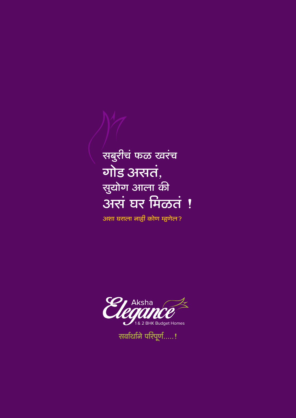## ्<br>सबुरीचं फळ खरंच गोड असतं, सुयोग आला की अरगं घर मिळतं !

.<br>अशा घराला नाही कोण म्हणेल?



सर्वार्थाने परिपूर्ण.....!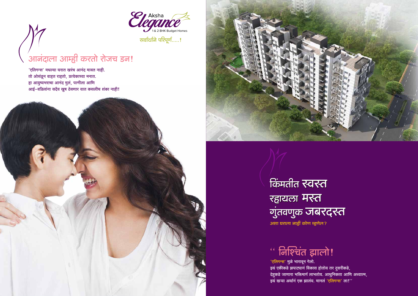

## आनंदाला आम्ही करतो रोजच डन!

'एलिगन्स' मधल्या घरात खरंच आनंद मावत नाही. तो ओसंडून वाहत राहतो, प्रत्येकाच्या मनात. हा आयुष्यभराचा आनंद मुलं, पत्नीला आणि आई-वडिलांना सदैव खुष ठेवणार यात कसलीच शंका नाही!



किंमतीत स्वस्त रहायला मरन गुंतवणुक जबरदस्त अशा घराला नाही कोण म्हणेल?

# $\cdot \cdot$  निश्चिंत झालो!

'एलिगन्स' मुळे भारावून गेलो. इथं एकीकडे झपाट्यानं विकास होतोय तर दुसरीकडे, देहुकडे जाणारा भक्तिमार्ग लाभतोय. आधुनिकता आणि अध्यात्म, इथं खऱ्या अर्थानं एक झालंय. मानलं 'एलिगन्स' ला!''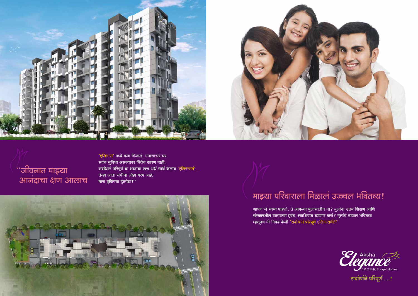



'एलिगन्स' मध्ये मला मिळालं, मनासारखं घर. सर्वच सुविधा असल्यावर चिंतेचं कारण नाही. सर्वाथानं परिपूर्ण या शब्दांचा खरा अर्थ सार्थ केलाय 'एलिगन्सनं'. तेव्हा आता संधीचा लोहा गरम आहे. मारा बुकिंगचा हातोडा!''



# माइया परिवाराला मिळालं उज्ज्वल भवितव्य!

आपण जे स्वप्न पाहतो, ते आपल्या मुलांसाठीच ना? मुलांना उत्तम शिक्षण आणि संस्कारशील वातावरण हवंच. त्याशिवाय घडणार कसं? मुलांचं उज्र्वल भवितव्य म्हणूनच मी निवड केली 'सर्वाथानं परिपूर्ण एलिगन्सची!''





सर्वार्थाने परिपूर्ण.....!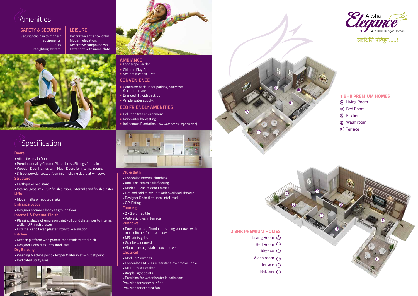Decorative entrance lobby. Modern elevation. Decorative compound wall. Letter box with name plate.



## **ambiance**

- Landscape Garden
- Children Play Area
- Senior Citizenså Area

### **Leisure SAFETY & SECURITY**

## **Convenience**

- Generator back up for parking, Staircase & common area.
- Branded lift with back up.
- Ample water supply.

Security cabin with modern equipments. **CCTV** Fire fighting system.

## **ECO FRIENDLY AMENITIES**

- Pollution free environment.
- Rain water harvesting.
- Indigenous Plantation (Low water consumption tree)





## **Doors**

- Attractive main Door
- Premium quality Chrome Plated brass Fittings for main door
- Wooden Door frames with Flush Doors for internal rooms
- 3 Track powder coated Aluminium sliding doors at windows **Structure**
- Earthquake Resistant
- Internal gypsum / POP finish plaster, External sand finish plaster **Lifts**
- Modern lifts of reputed make

**Entrance Lobby**

- Designer entrance lobby at ground floor
- **Internal & External Finish**
- Pleasing shade of emulsion paint /oil bond distemper to internal walls POP finish plaster
- External sand faced plaster Attractive elevation
- **Kitchen**
- Kitchen platform with granite top Stainless steel sink
- Designer Dado tiles upto lintel level
- **Dry Balcony**
- Washing Machine point Proper Water inlet & outlet point
- Dedicated utility area



## **WC & Bath**

- - Anti-skid ceramic tile flooring
	- Marble / Granite door Frames
	-
	-
	-
	-
	-
	-
	- **Windows**
	-
	- MS safety grills
	-
	-
	- **Electrical**
	-

- Concealed internal plumbing
- 
- 
- Hot and cold mixer unit with overhead shower
- Designer Dado tiles upto lintel level
- C.P. Fitting
- **Flooring**
- **2 x 2 vitrified tile**
- Anti-skid tiles in terrace
- 
- Powder coated Aluminium sliding windows with mosquito net for all windows
- 
- Granite window sill
- Aluminium adjustable louvered vent
- 
- Modular Switches
- Concealed FRLS- Fire resistant low smoke Cable
- MCB Circuit Breaker
- Ample Light points
- Provision for water heater in bathroom Provision for water purifier
- Provision for exhaust fan
	-





F

- Living Room A
- Bed Room B
	- Kitchen C
- Wash room  $\overline{0}$
- Terrace (E
- Balcony F

# **Specification**

## **2 BHK PREMIUM HOMES**

- Living Room A
- Bed Room B
- $\circledcirc$  Kitchen
- Wash room D
- Terrace E

## **1 BHK PREMIUM HOMES**



रार्वार्थाने परिपूर्ण.....!